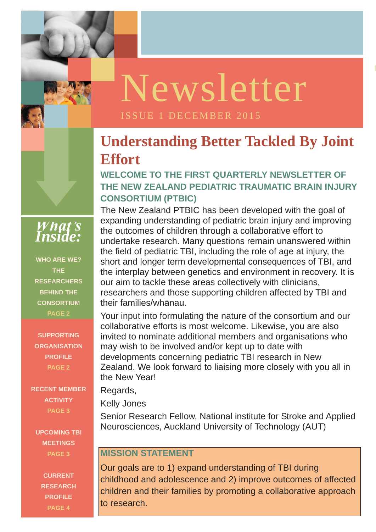**ISSUE 1 OCTOBER** 

## **Understanding Better Tackled By Joint Effort**

## **WELCOME TO THE FIRST QUARTERLY NEWSLETTER OF THE NEW ZEALAND PEDIATRIC TRAUMATIC BRAIN INJURY CONSORTIUM (PTBIC)**

The New Zealand PTBIC has been developed with the goal of expanding understanding of pediatric brain injury and improving the outcomes of children through a collaborative effort to undertake research. Many questions remain unanswered within the field of pediatric TBI, including the role of age at injury, the short and longer term developmental consequences of TBI, and the interplay between genetics and environment in recovery. It is our aim to tackle these areas collectively with clinicians, researchers and those supporting children affected by TBI and their families/whānau.

minities to herminate additional mornecto dina organized<br>may wish to be involved and/or kept up to date with developments concerning pediatric TBI research in New Your input into formulating the nature of the consortium and our collaborative efforts is most welcome. Likewise, you are also invited to nominate additional members and organisations who Zealand. We look forward to liaising more closely with you all in the New Year!

#### Regards,

## Kelly Jones

Senior Research Fellow, National institute for Stroke and Applied Neurosciences, Auckland University of Technology (AUT)

#### **MISSION STATEMENT**

Our goals are to 1) expand understanding of TBI during childhood and adolescence and 2) improve outcomes of affected children and their families by promoting a collaborative approach to research.



**WHO ARE WE? THE RESEARCHERS BEHIND THE CONSORTIUM PAGE 2**

**SUPPORTING ORGANISATION PROFILE PAGE 2**

**RECENT MEMBER ACTIVITY PAGE 3 UPCOMING TBI MEETINGS PAGE 3 CURRENT RESEARCH PROFILE PAGE 4**

# Newsletter

### ISSUE 1 DECEMBER 2015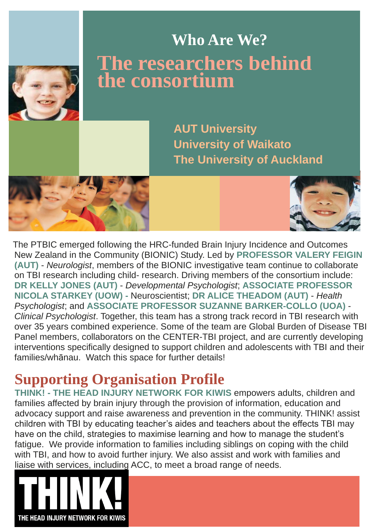The PTBIC emerged following the HRC-funded Brain Injury Incidence and Outcomes New Zealand in the Community (BIONIC) Study. Led by **PROFESSOR VALERY FEIGIN (AUT)** - *Neurologist*, members of the BIONIC investigative team continue to collaborate on TBI research including child- research. Driving members of the consortium include: **DR KELLY JONES (AUT)** - *Developmental Psychologist*; **ASSOCIATE PROFESSOR NICOLA STARKEY (UOW) -** Neuroscientist; **DR ALICE THEADOM (AUT)** - *Health Psychologist*; and **ASSOCIATE PROFESSOR SUZANNE BARKER-COLLO (UOA)** - *Clinical Psychologist*. Together, this team has a strong track record in TBI research with over 35 years combined experience. Some of the team are Global Burden of Disease TBI Panel members, collaborators on the CENTER-TBI project, and are currently developing interventions specifically designed to support children and adolescents with TBI and their families/whānau. Watch this space for further details!

## **The researchers behind**  the consortium **Who Are We?**

**AUT University University of Waikato The University of Auckland**

## **Supporting Organisation Profile**

**THINK! - THE HEAD INJURY NETWORK FOR KIWIS** empowers adults, children and families affected by brain injury through the provision of information, education and advocacy support and raise awareness and prevention in the community. THINK! assist children with TBI by educating teacher's aides and teachers about the effects TBI may have on the child, strategies to maximise learning and how to manage the student's fatigue. We provide information to families including siblings on coping with the child with TBI, and how to avoid further injury. We also assist and work with families and liaise with services, including ACC, to meet a broad range of needs.

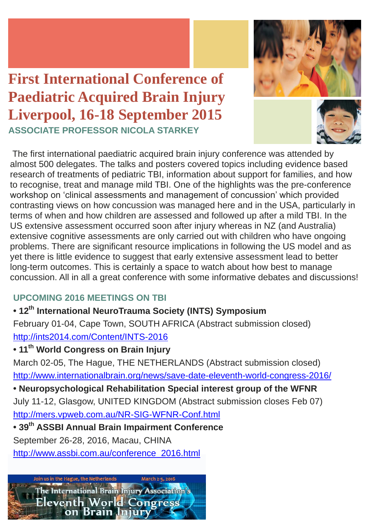The first international paediatric acquired brain injury conference was attended by almost 500 delegates. The talks and posters covered topics including evidence based research of treatments of pediatric TBI, information about support for families, and how to recognise, treat and manage mild TBI. One of the highlights was the pre-conference workshop on 'clinical assessments and management of concussion' which provided contrasting views on how concussion was managed here and in the USA, particularly in terms of when and how children are assessed and followed up after a mild TBI. In the US extensive assessment occurred soon after injury whereas in NZ (and Australia) extensive cognitive assessments are only carried out with children who have ongoing problems. There are significant resource implications in following the US model and as yet there is little evidence to suggest that early extensive assessment lead to better long-term outcomes. This is certainly a space to watch about how best to manage concussion. All in all a great conference with some informative debates and discussions!

## **UPCOMING 2016 MEETINGS ON TBI**

## **• 12th International NeuroTrauma Society (INTS) Symposium**

February 01-04, Cape Town, SOUTH AFRICA (Abstract submission closed) <http://ints2014.com/Content/INTS-2016>

## **• 11th World Congress on Brain Injury**

March 02-05, The Hague, THE NETHERLANDS (Abstract submission closed) <http://www.internationalbrain.org/news/save-date-eleventh-world-congress-2016/>

### **• Neuropsychological Rehabilitation Special interest group of the WFNR**

July 11-12, Glasgow, UNITED KINGDOM (Abstract submission closes Feb 07)

<http://mers.vpweb.com.au/NR-SIG-WFNR-Conf.html>

**• 39th ASSBI Annual Brain Impairment Conference**

September 26-28, 2016, Macau, CHINA

[http://www.assbi.com.au/conference\\_2016.html](http://www.assbi.com.au/conference_2016.html)



## **First International Conference of Paediatric Acquired Brain Injury Liverpool, 16-18 September 2015 ASSOCIATE PROFESSOR NICOLA STARKEY**